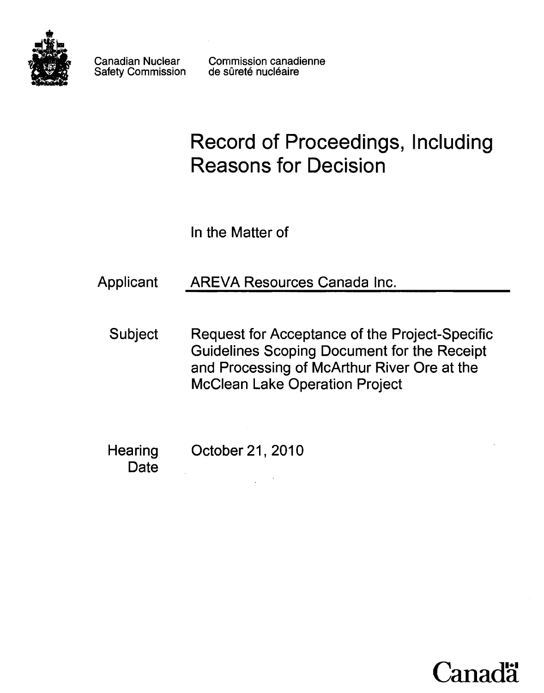

Canadian Nuclear Safety Commission Commission canadienne de sûreté nucléaire

# Record of Proceedings, Including Reasons for Decision

ln the Matter of

Applicant AREVA Resources Canada Inc.

Subject Request for Acceptance of the Project-Specific Guidelines Scoping Document for the Receipt and Processing of McArthur River Ore at the McClean Lake Operation Project

**Hearing Date** October 21,2010

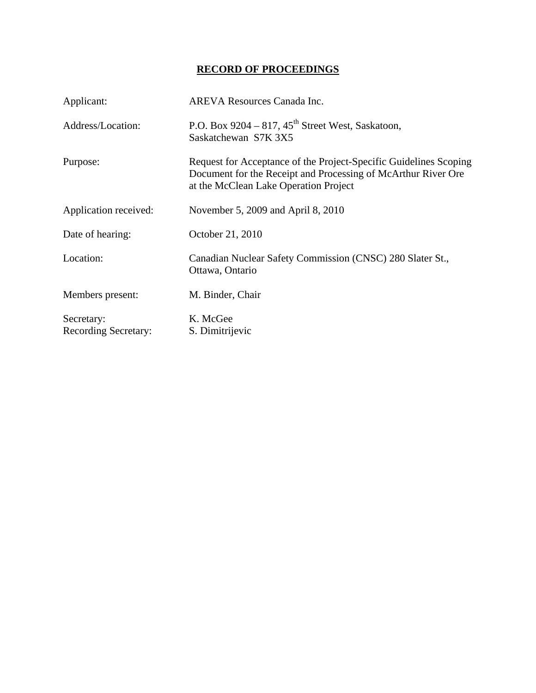## **RECORD OF PROCEEDINGS**

| Applicant:                                | <b>AREVA Resources Canada Inc.</b>                                                                                                                                          |
|-------------------------------------------|-----------------------------------------------------------------------------------------------------------------------------------------------------------------------------|
| Address/Location:                         | P.O. Box 9204 – 817, $45^{\text{th}}$ Street West, Saskatoon,<br>Saskatchewan S7K 3X5                                                                                       |
| Purpose:                                  | Request for Acceptance of the Project-Specific Guidelines Scoping<br>Document for the Receipt and Processing of McArthur River Ore<br>at the McClean Lake Operation Project |
| Application received:                     | November 5, 2009 and April 8, 2010                                                                                                                                          |
| Date of hearing:                          | October 21, 2010                                                                                                                                                            |
| Location:                                 | Canadian Nuclear Safety Commission (CNSC) 280 Slater St.,<br>Ottawa, Ontario                                                                                                |
| Members present:                          | M. Binder, Chair                                                                                                                                                            |
| Secretary:<br><b>Recording Secretary:</b> | K. McGee<br>S. Dimitrijevic                                                                                                                                                 |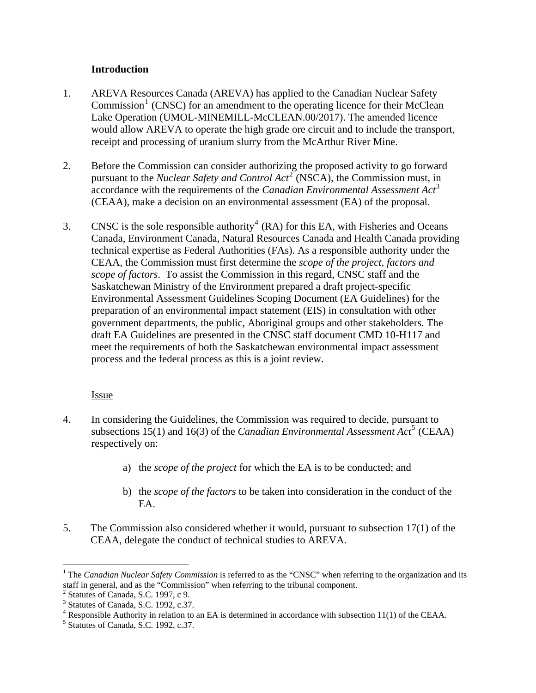### **Introduction**

- <span id="page-3-0"></span>1. AREVA Resources Canada (AREVA) has applied to the Canadian Nuclear Safety  $Commission<sup>1</sup>$  $Commission<sup>1</sup>$  $Commission<sup>1</sup>$  (CNSC) for an amendment to the operating licence for their McClean Lake Operation (UMOL-MINEMILL-McCLEAN.00/2017). The amended licence would allow AREVA to operate the high grade ore circuit and to include the transport, receipt and processing of uranium slurry from the McArthur River Mine.
- 2. Before the Commission can consider authorizing the proposed activity to go forward pursuant to the *Nuclear Safety and Control Act*<sup>[2](#page-3-2)</sup> (NSCA), the Commission must, in accordance with the requirements of the *Canadian Environmental Assessment Act*[3](#page-3-3) (CEAA), make a decision on an environmental assessment (EA) of the proposal.
- 3. CNSC is the sole responsible authority<sup>[4](#page-3-4)</sup> (RA) for this EA, with Fisheries and Oceans Canada, Environment Canada, Natural Resources Canada and Health Canada providing technical expertise as Federal Authorities (FAs). As a responsible authority under the CEAA, the Commission must first determine the *scope of the project, factors and scope of factors*. To assist the Commission in this regard, CNSC staff and the Saskatchewan Ministry of the Environment prepared a draft project-specific Environmental Assessment Guidelines Scoping Document (EA Guidelines) for the preparation of an environmental impact statement (EIS) in consultation with other government departments, the public, Aboriginal groups and other stakeholders. The draft EA Guidelines are presented in the CNSC staff document CMD 10-H117 and meet the requirements of both the Saskatchewan environmental impact assessment process and the federal process as this is a joint review.

#### Issue

- 4. In considering the Guidelines, the Commission was required to decide, pursuant to subsections 1[5](#page-3-5)(1) and 16(3) of the *Canadian Environmental Assessment Act*<sup>5</sup> (CEAA) respectively on:
	- a) the *scope of the project* for which the EA is to be conducted; and
	- b) the *scope of the factors* to be taken into consideration in the conduct of the EA.
- 5. The Commission also considered whether it would, pursuant to subsection 17(1) of the CEAA, delegate the conduct of technical studies to AREVA.

<span id="page-3-1"></span> $\overline{a}$ <sup>1</sup> The *Canadian Nuclear Safety Commission* is referred to as the "CNSC" when referring to the organization and its staff in general, and as the "Commission" when referring to the tribunal component.

<span id="page-3-2"></span><sup>2</sup> Statutes of Canada, S.C. 1997, c 9.

<span id="page-3-3"></span><sup>&</sup>lt;sup>3</sup> Statutes of Canada, S.C. 1992, c.37.

<span id="page-3-4"></span><sup>&</sup>lt;sup>4</sup> Responsible Authority in relation to an EA is determined in accordance with subsection 11(1) of the CEAA.<br><sup>5</sup> Statutes of Canada S.C. 1002,  $2^{27}$ 

<span id="page-3-5"></span> $<sup>5</sup>$  Statutes of Canada, S.C. 1992, c.37.</sup>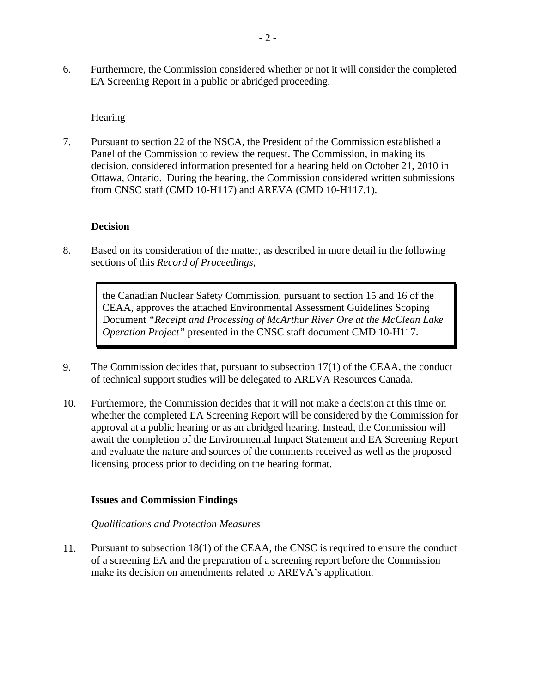<span id="page-4-0"></span>6. Furthermore, the Commission considered whether or not it will consider the completed EA Screening Report in a public or abridged proceeding.

### Hearing

7. Pursuant to section 22 of the NSCA, the President of the Commission established a Panel of the Commission to review the request. The Commission, in making its decision, considered information presented for a hearing held on October 21, 2010 in Ottawa, Ontario. During the hearing, the Commission considered written submissions from CNSC staff (CMD 10-H117) and AREVA (CMD 10-H117.1).

### **Decision**

8. Based on its consideration of the matter, as described in more detail in the following sections of this *Record of Proceedings*,

> the Canadian Nuclear Safety Commission, pursuant to section 15 and 16 of the CEAA, approves the attached Environmental Assessment Guidelines Scoping Document *"Receipt and Processing of McArthur River Ore at the McClean Lake Operation Project"* presented in the CNSC staff document CMD 10-H117.

- 9. The Commission decides that, pursuant to subsection 17(1) of the CEAA, the conduct of technical support studies will be delegated to AREVA Resources Canada.
- 10. Furthermore, the Commission decides that it will not make a decision at this time on whether the completed EA Screening Report will be considered by the Commission for approval at a public hearing or as an abridged hearing. Instead, the Commission will await the completion of the Environmental Impact Statement and EA Screening Report and evaluate the nature and sources of the comments received as well as the proposed licensing process prior to deciding on the hearing format.

#### **Issues and Commission Findings**

#### *Qualifications and Protection Measures*

11. Pursuant to subsection 18(1) of the CEAA, the CNSC is required to ensure the conduct of a screening EA and the preparation of a screening report before the Commission make its decision on amendments related to AREVA's application.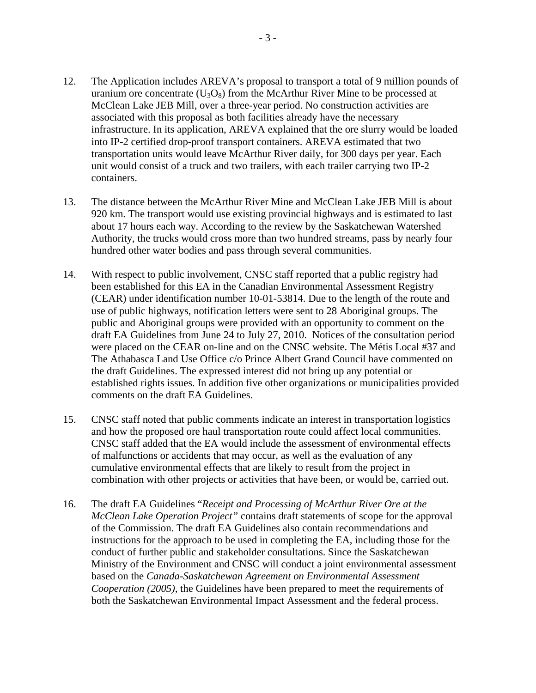- 12. The Application includes AREVA's proposal to transport a total of 9 million pounds of uranium ore concentrate  $(U_3O_8)$  from the McArthur River Mine to be processed at McClean Lake JEB Mill, over a three-year period. No construction activities are associated with this proposal as both facilities already have the necessary infrastructure. In its application, AREVA explained that the ore slurry would be loaded into IP-2 certified drop-proof transport containers. AREVA estimated that two transportation units would leave McArthur River daily, for 300 days per year. Each unit would consist of a truck and two trailers, with each trailer carrying two IP-2 containers.
- 13. The distance between the McArthur River Mine and McClean Lake JEB Mill is about 920 km. The transport would use existing provincial highways and is estimated to last about 17 hours each way. According to the review by the Saskatchewan Watershed Authority, the trucks would cross more than two hundred streams, pass by nearly four hundred other water bodies and pass through several communities.
- 14. With respect to public involvement, CNSC staff reported that a public registry had been established for this EA in the Canadian Environmental Assessment Registry (CEAR) under identification number 10-01-53814. Due to the length of the route and use of public highways, notification letters were sent to 28 Aboriginal groups. The public and Aboriginal groups were provided with an opportunity to comment on the draft EA Guidelines from June 24 to July 27, 2010. Notices of the consultation period were placed on the CEAR on-line and on the CNSC website. The Métis Local #37 and The Athabasca Land Use Office c/o Prince Albert Grand Council have commented on the draft Guidelines. The expressed interest did not bring up any potential or established rights issues. In addition five other organizations or municipalities provided comments on the draft EA Guidelines.
- 15. CNSC staff noted that public comments indicate an interest in transportation logistics and how the proposed ore haul transportation route could affect local communities. CNSC staff added that the EA would include the assessment of environmental effects of malfunctions or accidents that may occur, as well as the evaluation of any cumulative environmental effects that are likely to result from the project in combination with other projects or activities that have been, or would be, carried out.
- 16. The draft EA Guidelines "*Receipt and Processing of McArthur River Ore at the McClean Lake Operation Project"* contains draft statements of scope for the approval of the Commission. The draft EA Guidelines also contain recommendations and instructions for the approach to be used in completing the EA, including those for the conduct of further public and stakeholder consultations. Since the Saskatchewan Ministry of the Environment and CNSC will conduct a joint environmental assessment based on the *Canada-Saskatchewan Agreement on Environmental Assessment Cooperation (2005)*, the Guidelines have been prepared to meet the requirements of both the Saskatchewan Environmental Impact Assessment and the federal process.